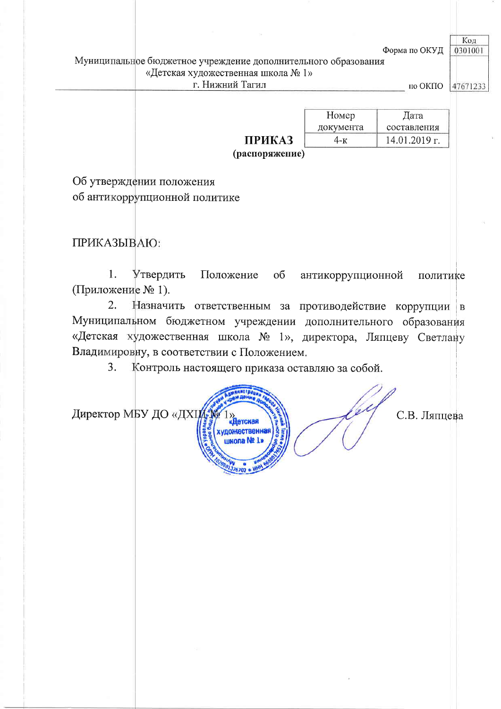Форма по ОКУД

#### Муниципальное бюджетное учреждение дополнительного образования «Детская художественная школа № 1» г. Нижний Тагил

по ОКПО 47671233

Код

0301001

|               | Номер     | Дата          |  |
|---------------|-----------|---------------|--|
|               | документа | составления   |  |
| <b>ПРИКАЗ</b> | 1-к       | 14.01.2019 г. |  |
|               |           |               |  |

(распоряжение)

Об утверждении положения об антикоррупционной политике

ПРИКАЗЫВАЮ:

 $\overline{1}$ . Утвердить Положение  $\overline{00}$ антикоррупционной политике (Приложение № 1).

 $2.$ Назначить ответственным за противодействие коррупции Муниципальном бюджетном учреждении дополнительного образования «Детская художественная школа № 1», директора, Ляпцеву Светлану Владимировну, в соответствии с Положением.

 $3.$ Контроль настоящего приказа оставляю за собой.



С.В. Ляпцева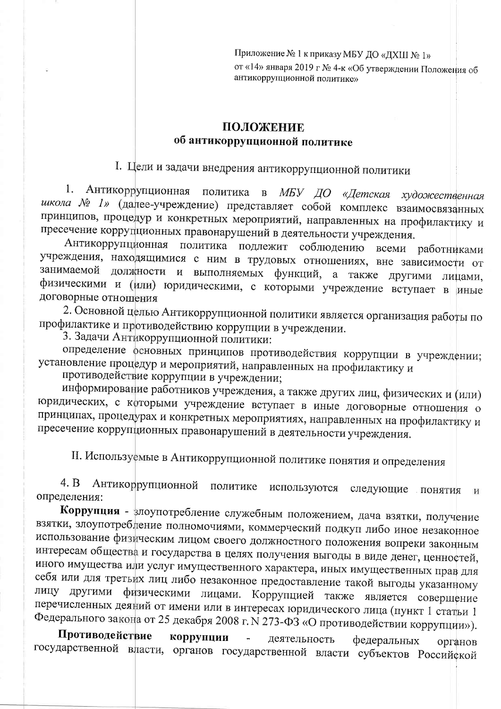Приложение № 1 к приказу МБУ ДО «ДХШ № 1» от «14» января 2019 г № 4-к «Об утверждении Положения об антикоррупционной политике»

#### ПОЛОЖЕНИЕ об антикоррупционной политике

I. Цели и задачи внедрения антикоррупционной политики

Антикоррупционная политика в МБУ ДО «Детская художественная 1. школа № 1» (далее-учреждение) представляет собой комплекс взаимосвязанных принципов, процедур и конкретных мероприятий, направленных на профилактику и пресечение коррупционных правонарушений в деятельности учреждения.

Антикоррупционная политика подлежит соблюдению всеми работниками учреждения, находящимися с ним в трудовых отношениях, вне зависимости от занимаемой должности и выполняемых функций, а также другими лицами, физическими и (или) юридическими, с которыми учреждение вступает в иные договорные отношения

2. Основной целью Антикоррупционной политики является организация работы по профилактике и противодействию коррупции в учреждении.

3. Задачи Антикоррупционной политики:

определение основных принципов противодействия коррупции в учреждении; установление процедур и мероприятий, направленных на профилактику и

противодействие коррупции в учреждении;

информирование работников учреждения, а также других лиц, физических и (или) юридических, с которыми учреждение вступает в иные договорные отношения о принципах, процедурах и конкретных мероприятиях, направленных на профилактику и пресечение коррупционных правонарушений в деятельности учреждения.

II. Используемые в Антикоррупционной политике понятия и определения

Антикоррупционной политике используются  $4. B$ следующие понятия И определения:

Коррупция - злоупотребление служебным положением, дача взятки, получение взятки, злоупотребление полномочиями, коммерческий подкуп либо иное незаконное использование физическим лицом своего должностного положения вопреки законным интересам общества и государства в целях получения выгоды в виде денег, ценностей, иного имущества или услуг имущественного характера, иных имущественных прав для себя или для третьих лиц либо незаконное предоставление такой выгоды указанному лицу другими физическими лицами. Коррупцией также является совершение перечисленных деяний от имени или в интересах юридического лица (пункт 1 статьи 1 Федерального закона от 25 декабря 2008 г. N 273-ФЗ «О противодействии коррупции»).

Противодействие коррупции  $\Box$ деятельность федеральных органов государственной власти, органов государственной власти субъектов Российской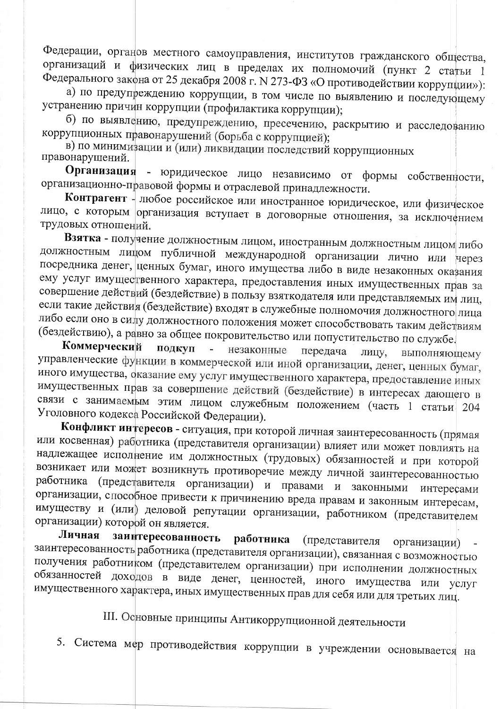Федерации, органов местного самоуправления, институтов гражданского общества, организаций и физических лиц в пределах их полномочий (пункт 2 статьи 1 Федерального закона от 25 декабря 2008 г. N 273-ФЗ «О противодействии коррупции»):

а) по предупреждению коррупции, в том числе по выявлению и последующему устранению причин коррупции (профилактика коррупции);

б) по выявлению, предупреждению, пресечению, раскрытию и расследованию коррупционных правонарушений (борьба с коррупцией);

в) по минимизации и (или) ликвидации последствий коррупционных правонарушений.

Организация - юридическое лицо независимо от формы собственности, организационно-правовой формы и отраслевой принадлежности.

Контрагент - любое российское или иностранное юридическое, или физическое лицо, с которым организация вступает в договорные отношения, за исключением трудовых отношений.

Взятка - получение должностным лицом, иностранным должностным лицом либо должностным лицом публичной международной организации лично или через посредника денег, ценных бумаг, иного имущества либо в виде незаконных оказания ему услуг имущественного характера, предоставления иных имущественных прав за совершение действий (бездействие) в пользу взяткодателя или представляемых им лиц, если такие действия (бездействие) входят в служебные полномочия должностного лица либо если оно в силу должностного положения может способствовать таким действиям (бездействию), а равно за общее покровительство или попустительство по службе.

Коммерческий подкуп  $\overline{a}$ незаконные передача лицу, выполняющему управленческие функции в коммерческой или иной организации, денег, ценных бумаг, иного имущества, оказание ему услуг имущественного характера, предоставление иных имущественных прав за совершение действий (бездействие) в интересах дающего в связи с занимаемым этим лицом служебным положением (часть 1 статьи 204 Уголовного кодекса Российской Федерации).

Конфликт интересов - ситуация, при которой личная заинтересованность (прямая или косвенная) работника (представителя организации) влияет или может повлиять на надлежащее исполнение им должностных (трудовых) обязанностей и при которой возникает или может возникнуть противоречие между личной заинтересованностью работника (представителя организации) и правами и законными интересами организации, способное привести к причинению вреда правам и законным интересам, имуществу и (или) деловой репутации организации, работником (представителем организации) которой он является.

заинтересованность Личная работника (представителя организации) заинтересованность работника (представителя организации), связанная с возможностью получения работником (представителем организации) при исполнении должностных обязанностей доходов в виде денег, ценностей, иного имущества или услуг имущественного характера, иных имущественных прав для себя или для третьих лиц.

III. Основные принципы Антикоррупционной деятельности

5. Система мер противодействия коррупции в учреждении основывается на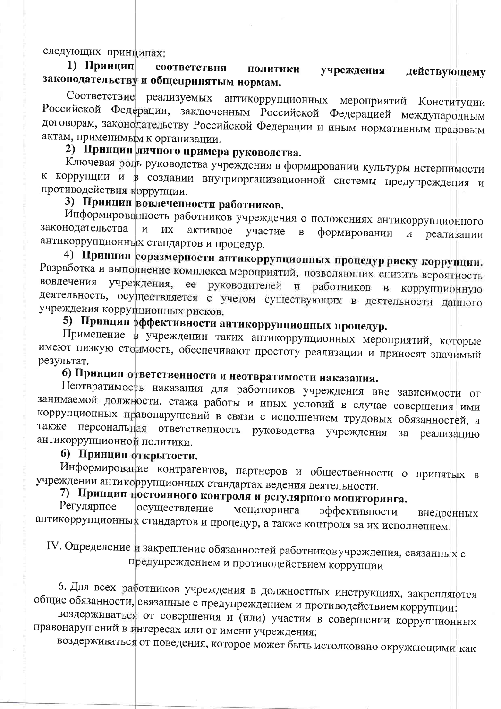следующих принципах:

1) Принцип соответствия ПОЛИТИКИ учреждения действующему законодательству и общепринятым нормам.

Соответствие реализуемых антикоррупционных мероприятий Конституции Российской Федерации, заключенным Российской Федерацией международным договорам, законодательству Российской Федерации и иным нормативным правовым актам, применимым к организации.

#### 2) Принцип личного примера руководства.

Ключевая роль руководства учреждения в формировании культуры нетерпимости к коррупции и в создании внутриорганизационной системы предупреждения и противодействия коррупции.

#### 3) Принцип вовлеченности работников.

Информированность работников учреждения о положениях антикоррупционного законодательства  $\overline{M}$ **их** активное участие  $\overline{B}$ формировании  $\overline{M}$ реализации антикоррупционных стандартов и процедур.

4) Принцип соразмерности антикоррупционных процедур риску коррупции. Разработка и выполнение комплекса мероприятий, позволяющих снизить вероятность вовлечения учреждения, ее руководителей и работников в коррупционную деятельность, осуществляется с учетом существующих в деятельности данного учреждения коррупционных рисков.

### 5) Принцип эффективности антикоррупционных процедур.

Применение в учреждении таких антикоррупционных мероприятий, которые имеют низкую стоимость, обеспечивают простоту реализации и приносят значимый результат.

### 6) Принцип ответственности и неотвратимости наказания.

Неотвратимость наказания для работников учреждения вне зависимости от занимаемой должности, стажа работы и иных условий в случае совершения ими коррупционных правонарушений в связи с исполнением трудовых обязанностей, а также персональная ответственность руководства учреждения за реализацию антикоррупционной политики.

#### 6) Принцип открытости.

Информирование контрагентов, партнеров и общественности о принятых в учреждении антикоррупционных стандартах ведения деятельности.

## 7) Принцип постоянного контроля и регулярного мониторинга.

Регулярное осуществление мониторинга эффективности внедренных антикоррупционных стандартов и процедур, а также контроля за их исполнением.

IV. Определение и закрепление обязанностей работниковучреждения, связанных с предупреждением и противодействием коррупции

6. Для всех работников учреждения в должностных инструкциях, закрепляются общие обязанности, связанные с предупреждением и противодействием коррупции:

воздерживаться от совершения и (или) участия в совершении коррупционных правонарушений в интересах или от имени учреждения;

воздерживаться от поведения, которое может быть истолковано окружающими как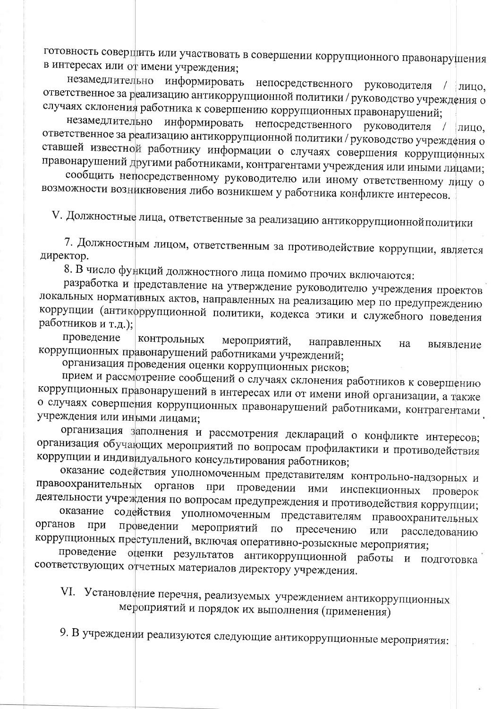готовность совершить или участвовать в совершении коррупционного правонарушения в интересах или от имени учреждения;

незамедлительно информировать непосредственного руководителя / лицо, ответственное за реализацию антикоррупционной политики / руководство учреждения о случаях склонения работника к совершению коррупционных правонарушений;

незамедлительно информировать непосредственного руководителя / лицо, ответственное за реализацию антикоррупционной политики / руководство учреждения о ставшей известной работнику информации о случаях совершения коррупционных правонарушений другими работниками, контрагентами учреждения или иными лицами;

сообщить непосредственному руководителю или иному ответственному лицу о возможности возникновения либо возникшем у работника конфликте интересов.

V. Должностные лица, ответственные за реализацию антикоррупционной политики

7. Должностным лицом, ответственным за противодействие коррупции, является директор.

8. В число функций должностного лица помимо прочих включаются:

разработка и представление на утверждение руководителю учреждения проектов локальных нормативных актов, направленных на реализацию мер по предупреждению коррупции (антикоррупционной политики, кодекса этики и служебного поведения работников и т.д.);

проведение контрольных мероприятий, направленных на выявление коррупционных правонарушений работниками учреждений;

организация проведения оценки коррупционных рисков;

прием и рассмотрение сообщений о случаях склонения работников к совершению коррупционных правонарушений в интересах или от имени иной организации, а также о случаях совершения коррупционных правонарушений работниками, контрагентами учреждения или иными лицами;

организация заполнения и рассмотрения деклараций о конфликте интересов; организация обучающих мероприятий по вопросам профилактики и противодействия коррупции и индивидуального консультирования работников;

оказание содействия уполномоченным представителям контрольно-надзорных и правоохранительных органов при проведении ими инспекционных проверок деятельности учреждения по вопросам предупреждения и противодействия коррупции;

оказание содействия уполномоченным представителям правоохранительных органов проведении при мероприятий  $\Pi{\rm O}$ пресечению ИЛИ расследованию коррупционных преступлений, включая оперативно-розыскные мероприятия;

проведение оценки результатов антикоррупционной работы и подготовка соответствующих отчетных материалов директору учреждения.

VI. Установление перечня, реализуемых учреждением антикоррупционных мероприятий и порядок их выполнения (применения)

9. В учреждении реализуются следующие антикоррупционные мероприятия: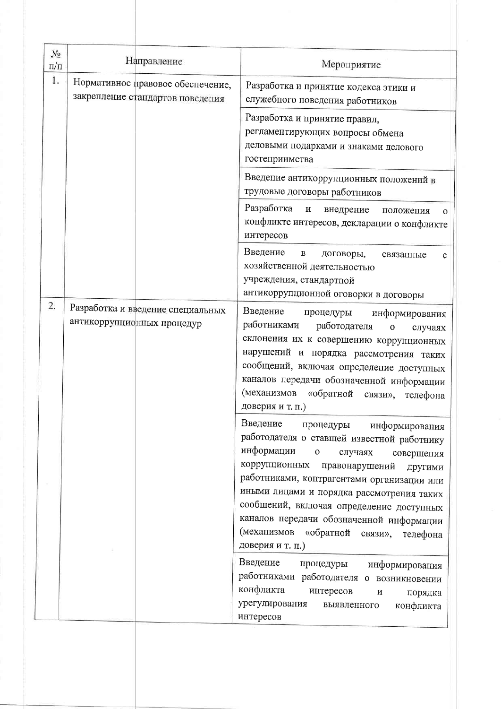| $N_2$ |                                                                       |                                                                                                                                                                                                                                                                                                                                                                                                                                               |
|-------|-----------------------------------------------------------------------|-----------------------------------------------------------------------------------------------------------------------------------------------------------------------------------------------------------------------------------------------------------------------------------------------------------------------------------------------------------------------------------------------------------------------------------------------|
| п/п   | Направление                                                           | Мероприятие                                                                                                                                                                                                                                                                                                                                                                                                                                   |
| 1.    | Нормативное правовое обеспечение,<br>закрепление стандартов поведения | Разработка и принятие кодекса этики и<br>служебного поведения работников                                                                                                                                                                                                                                                                                                                                                                      |
|       |                                                                       | Разработка и принятие правил,<br>регламентирующих вопросы обмена<br>деловыми подарками и знаками делового<br>гостеприимства                                                                                                                                                                                                                                                                                                                   |
|       |                                                                       | Введение антикоррупционных положений в<br>трудовые договоры работников                                                                                                                                                                                                                                                                                                                                                                        |
|       |                                                                       | Разработка<br>$\,$ $\,$ $\,$ $\,$<br>внедрение<br>положения<br>$\mathbf{O}$<br>конфликте интересов, декларации о конфликте<br>интересов                                                                                                                                                                                                                                                                                                       |
|       |                                                                       | Введение<br>$\, {\bf B}$<br>договоры,<br>связанные<br>c<br>хозяйственной деятельностью<br>учреждения, стандартной<br>антикоррупционной оговорки в договоры                                                                                                                                                                                                                                                                                    |
| 2.    | Разработка и введение специальных<br>антикоррупционных процедур       | Введение<br>процедуры<br>информирования<br>работниками<br>работодателя<br>$\mathbf 0$<br>случаях<br>склонения их к совершению коррупционных<br>нарушений и порядка рассмотрения таких<br>сообщений, включая определение доступных<br>каналов передачи обозначенной информации<br>(механизмов<br>«обратной<br>связи»,<br>телефона<br>доверия и т. п.)                                                                                          |
|       |                                                                       | Введение<br>процедуры<br>информирования<br>работодателя о ставшей известной работнику<br>информации<br>$\mathbf O$<br>случаях<br>совершения<br>коррупционных<br>правонарушений<br>другими<br>работниками, контрагентами организации или<br>иными лицами и порядка рассмотрения таких<br>сообщений, включая определение доступных<br>каналов передачи обозначенной информации<br>(механизмов «обратной связи»,<br>телефона<br>доверия и т. п.) |
|       |                                                                       | Введение<br>процедуры<br>информирования<br>работниками работодателя о возникновении<br>конфликта<br>интересов<br>$\, {\rm N}$<br>порядка<br>урегулирования<br>выявленного<br>конфликта<br>интересов                                                                                                                                                                                                                                           |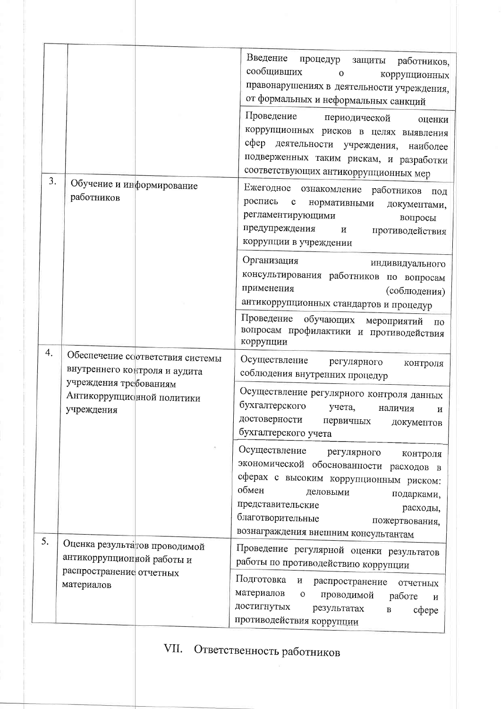|    |                                                                    | Введение<br>процедур<br>защиты<br>работников,<br>сообщивших<br>$\mathbf{O}$<br>коррупционных<br>правонарушениях в деятельности учреждения,<br>от формальных и неформальных санкций                                                                                            |
|----|--------------------------------------------------------------------|-------------------------------------------------------------------------------------------------------------------------------------------------------------------------------------------------------------------------------------------------------------------------------|
|    |                                                                    | Проведение периодической<br>оценки<br>коррупционных рисков в целях выявления<br>сфер деятельности учреждения, наиболее<br>подверженных таким рискам, и разработки<br>соответствующих антикоррупционных мер                                                                    |
| 3. | Обучение и информирование<br>работников                            | Ежегодное ознакомление работников<br>под<br>роспись<br>$\mathbf{c}$<br>нормативными<br>документами,<br>регламентирующими<br>вопросы<br>предупреждения<br>$\mathbf{H}$<br>противодействия<br>коррупции в учреждении                                                            |
|    |                                                                    | Организация<br>индивидуального<br>консультирования работников по вопросам<br>применения<br>(соблюдения)<br>антикоррупционных стандартов и процедур<br>Проведение обучающих мероприятий<br>$\Pi0$                                                                              |
| 4. | Обеспечение соответствия системы                                   | вопросам профилактики и противодействия<br>коррупции                                                                                                                                                                                                                          |
|    | внутреннего контроля и аудита                                      | Осуществление регулярного<br>контроля<br>соблюдения внутренних процедур                                                                                                                                                                                                       |
|    | учреждения требованиям<br>Антикоррупционной политики<br>учреждения | Осуществление регулярного контроля данных<br>бухгалтерского<br>учета,<br>наличия<br>И<br>достоверности<br>первичных<br>документов<br>бухгалтерского учета                                                                                                                     |
|    |                                                                    | Осуществление регулярного<br>контроля<br>экономической обоснованности расходов в<br>сферах с высоким коррупционным риском:<br>обмен<br>деловыми<br>подарками,<br>представительские<br>расходы,<br>благотворительные<br>пожертвования,<br>вознаграждения внешним консультантам |
| 5. | Оценка результа гов проводимой<br>антикоррупционной работы и       | Проведение регулярной оценки результатов                                                                                                                                                                                                                                      |
|    | распространение отчетных<br>материалов                             | работы по противодействию коррупции<br>Подготовка<br>И<br>распространение<br>отчетных<br>материалов<br>$\mathbf O$<br>проводимой<br>работе<br>$\,$ M<br>достигнутых<br>результатах<br>cфepe<br>$\, {\bf B}$                                                                   |
|    |                                                                    | противодействия коррупции                                                                                                                                                                                                                                                     |

# VII. Ответственность работников